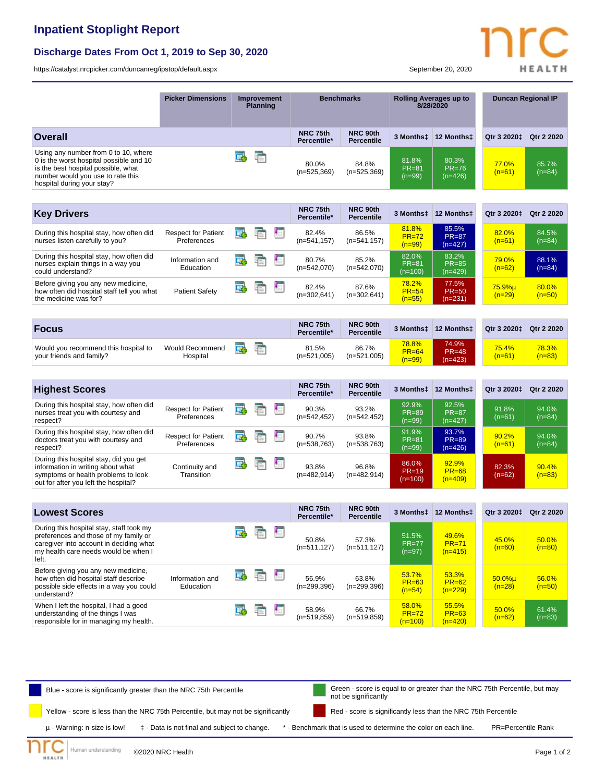## **Inpatient Stoplight Report**

## **Discharge Dates From Oct 1, 2019 to Sep 30, 2020**

<https://catalyst.nrcpicker.com/duncanreg/ipstop/default.aspx> September 20, 2020

|                                                                                                                                                                                           | <b>Picker Dimensions</b>                  | <b>Improvement</b><br><b>Planning</b> |   | <b>Benchmarks</b> |                         | <b>Rolling Averages up to</b><br>8/28/2020 |                                       | <b>Duncan Regional IP</b>          |                          |                   |
|-------------------------------------------------------------------------------------------------------------------------------------------------------------------------------------------|-------------------------------------------|---------------------------------------|---|-------------------|-------------------------|--------------------------------------------|---------------------------------------|------------------------------------|--------------------------|-------------------|
| <b>Overall</b>                                                                                                                                                                            |                                           |                                       |   |                   | NRC 75th<br>Percentile* | NRC 90th<br>Percentile                     | 3 Months‡                             | 12 Monthst                         | Qtr 3 2020 <sup>+</sup>  | Qtr 2 2020        |
| Using any number from 0 to 10, where<br>0 is the worst hospital possible and 10<br>is the best hospital possible, what<br>number would you use to rate this<br>hospital during your stay? |                                           | 国                                     | 重 |                   | 80.0%<br>$(n=525,369)$  | 84.8%<br>$(n=525,369)$                     | 81.8%<br><b>PR=81</b><br>$(n=99)$     | 80.3%<br>$PR = 76$<br>$(n=426)$    | 77.0%<br>$(n=61)$        | 85.7%<br>$(n=84)$ |
| <b>Key Drivers</b>                                                                                                                                                                        |                                           |                                       |   |                   | NRC 75th<br>Percentile* | NRC 90th<br><b>Percentile</b>              | 3 Months‡                             | 12 Monthst                         | Qtr 3 2020‡              | Qtr 2 2020        |
| During this hospital stay, how often did<br>nurses listen carefully to you?                                                                                                               | <b>Respect for Patient</b><br>Preferences | 国                                     | È | 围                 | 82.4%<br>(n=541,157)    | 86.5%<br>$(n=541, 157)$                    | 81.8%<br>$PR = 72$<br>$(n=99)$        | 85.5%<br><b>PR=87</b><br>$(n=427)$ | 82.0%<br>$(n=61)$        | 84.5%<br>$(n=84)$ |
| During this hospital stay, how often did<br>nurses explain things in a way you<br>could understand?                                                                                       | Information and<br>Education              | œ                                     | E | łп                | 80.7%<br>$(n=542,070)$  | 85.2%<br>$(n=542,070)$                     | 82.0%<br><b>PR=81</b><br>$(n=100)$    | 83.2%<br><b>PR=85</b><br>$(n=429)$ | 79.0%<br>$(n=62)$        | 88.1%<br>$(n=84)$ |
| Before giving you any new medicine,<br>how often did hospital staff tell you what<br>the medicine was for?                                                                                | <b>Patient Safety</b>                     | Œ.                                    | 唁 | 围                 | 82.4%<br>$(n=302,641)$  | 87.6%<br>$(n=302,641)$                     | 78.2%<br>$PR = 54$<br>$(n=55)$        | 77.5%<br><b>PR=50</b><br>$(n=231)$ | $75.9%$ µ<br>$(n=29)$    | 80.0%<br>$(n=50)$ |
|                                                                                                                                                                                           |                                           |                                       |   |                   |                         |                                            |                                       |                                    |                          |                   |
| <b>Focus</b>                                                                                                                                                                              |                                           |                                       |   |                   | NRC 75th<br>Percentile* | NRC 90th<br><b>Percentile</b>              | 3 Months‡                             | 12 Months‡                         | Qtr 3 2020‡              | Qtr 2 2020        |
| Would you recommend this hospital to<br>your friends and family?                                                                                                                          | <b>Would Recommend</b><br>Hospital        | œ                                     | 重 |                   | 81.5%<br>$(n=521,005)$  | 86.7%<br>$(n=521,005)$                     | <b>78.8%</b><br>$PR = 64$<br>$(n=99)$ | 74.9%<br><b>PR=48</b><br>$(n=423)$ | <b>75.4%</b><br>$(n=61)$ | 78.3%<br>$(n=83)$ |
| <b>Highest Scores</b>                                                                                                                                                                     |                                           |                                       |   |                   | NRC 75th<br>Percentile* | NRC 90th<br><b>Percentile</b>              | 3 Monthst                             | 12 Monthst                         | Qtr 3 2020 <sup>+</sup>  | Qtr 2 2020        |
| During this hospital stay, how often did<br>nurses treat you with courtesy and<br>respect?                                                                                                | <b>Respect for Patient</b><br>Preferences | 国                                     | F | Ю                 | 90.3%<br>$(n=542, 452)$ | 93.2%<br>$(n=542, 452)$                    | 92.9%<br><b>PR=89</b><br>$(n=99)$     | 92.5%<br>$PR = 87$<br>$(n=427)$    | 91.8%<br>$(n=61)$        | 94.0%<br>$(n=84)$ |
| During this hospital stay, how often did<br>doctors treat you with courtesy and<br>respect?                                                                                               | <b>Respect for Patient</b><br>Preferences | 國                                     | 眶 | 围                 | 90.7%<br>$(n=538,763)$  | 93.8%<br>$(n=538,763)$                     | 91.9%<br>$PR = 81$<br>$(n=99)$        | 93.7%<br><b>PR=89</b><br>$(n=426)$ | 90.2%<br>$(n=61)$        | 94.0%<br>$(n=84)$ |
| During this hospital stay, did you get<br>information in writing about what<br>symptoms or health problems to look<br>out for after you left the hospital?                                | Continuity and<br>Transition              | E.                                    | ħ | 围                 | 93.8%<br>$(n=482,914)$  | 96.8%<br>$(n=482,914)$                     | 86.0%<br>$PR=19$<br>$(n=100)$         | 92.9%<br>$PR = 68$<br>$(n=409)$    | 82.3%<br>$(n=62)$        | 90.4%<br>$(n=83)$ |
|                                                                                                                                                                                           |                                           |                                       |   |                   |                         |                                            |                                       |                                    |                          |                   |
| <b>Lowest Scores</b>                                                                                                                                                                      |                                           |                                       |   |                   | NRC 75th<br>Percentile* | NRC 90th<br><b>Percentile</b>              | 3 Monthst                             | 12 Monthst                         | Qtr 3 2020‡              | Qtr 2 2020        |
| During this hospital stay, staff took my<br>preferences and those of my family or<br>caregiver into account in deciding what<br>my health care needs would be when I<br>left.             |                                           |                                       | 看 | E                 | 50.8%<br>(n=511,127)    | 57.3%<br>$(n=511, 127)$                    | 51.5%<br><b>PR=77</b><br>$(n=97)$     | 49.6%<br>$PR = 71$<br>$(n=415)$    | 45.0%<br>$(n=60)$        | 50.0%<br>$(n=80)$ |
| Before giving you any new medicine,<br>how often did hospital staff describe<br>possible side effects in a way you could<br>understand?                                                   | Information and<br>Education              | 国                                     | 重 | 围                 | 56.9%<br>$(n=299,396)$  | 63.8%<br>$(n=299,396)$                     | 53.7%<br>$PR = 63$<br>$(n=54)$        | 53.3%<br>$PR = 62$<br>$(n=229)$    | $50.0%$ µ<br>$(n=28)$    | 56.0%<br>$(n=50)$ |
| When I left the hospital, I had a good<br>understanding of the things I was<br>responsible for in managing my health.                                                                     |                                           | 屁                                     | 盾 | 围                 | 58.9%<br>$(n=519, 859)$ | 66.7%<br>$(n=519, 859)$                    | 58.0%<br>$PR = 72$<br>$(n=100)$       | 55.5%<br><b>PR=63</b><br>$(n=420)$ | 50.0%<br>$(n=62)$        | 61.4%<br>$(n=83)$ |



Human understanding ©2020 NRC Health